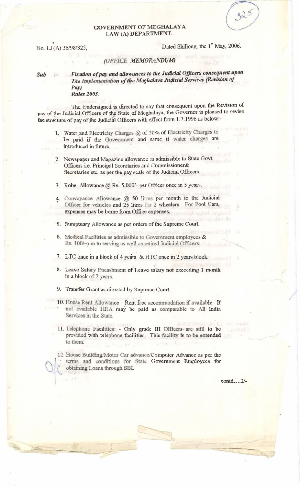## GOVERNMENT OF MEGHALAYA LAW (A) DEPARTMENT.

No. LJ(A) 36/98/325,

Dated Shillong, the 1<sup>st</sup> May, 2006.

## (OFFICE MEMORANDUM)

## Sub :- Fixation of pay and allowances to the Judicial Officers consequent upon The Implementation of the Meghalaya Judicial Services (Revision of Pay) **Rules 2005.**

The Undersigned is directed to say that consequent upon the Revision of pay of the Judicial Officers of the State of Meghalaya, the Governor is pleased to revise the structure of pay of the Judicial Officers with effect from 1.7.1996 as below:-

- 1. Water and Electricity Charges @ of 50% of Electricity Charges to be paid if the Government and same if water charges are introduced in future.
- 2. Newspaper and Magazine allowance as admissible to State Govt. Officers i.e. Principal Secretaries and Commissioner& Secretaries etc. as per the pay scale of the Judicial Officers.
- 3. Robe Allowance  $\omega$ , Rs. 5,000/- per Officer once in 5 years.
- 4. Conveyance Allowance @ 50 litres per month to the Judicial Officer for vehicles and 25 litres for 2 wheelers. For Pool Cars, expenses may be borne from Office expenses. A subut toujoin?
- 5. Sumptuary Allowance as per orders of the Supreme Court.
- 6. Medical Facilities as admissible to Government employees  $\&$ Rs. 100/-p.m to serving as well as retired Judicial Officers.

7. LTC once in a block of 4 years & HTC once in 2 years block.

- 8. Leave Salary Encashment of Leave salary not exceeding 1 month in a block of 2 years.
- 9. Transfer Grant as directed by Supreme Court.
- 10. House Rent Allowance Rent free accommodation if available. If not available HRA may be paid as comparable to All India Services in the State.
- 11. Telephone Facilities: Only grade III Officers are still to be provided with telephone facilities. This facility is to be extended to them. of see Trang M. poly " sang, Pri

12. House Building/Motor Car advance/Computer Advance as per the terms and conditions for State Government Employees for obtaining Loans through SBI.

contd....2/-

im Hahl sen